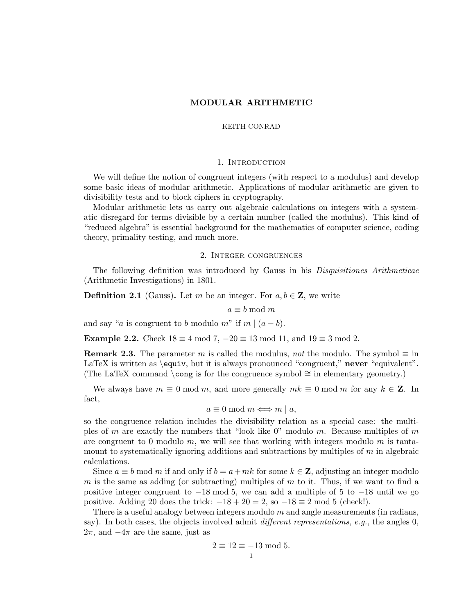#### KEITH CONRAD

## 1. INTRODUCTION

We will define the notion of congruent integers (with respect to a modulus) and develop some basic ideas of modular arithmetic. Applications of modular arithmetic are given to divisibility tests and to block ciphers in cryptography.

Modular arithmetic lets us carry out algebraic calculations on integers with a systematic disregard for terms divisible by a certain number (called the modulus). This kind of "reduced algebra" is essential background for the mathematics of computer science, coding theory, primality testing, and much more.

## 2. Integer congruences

The following definition was introduced by Gauss in his Disquisitiones Arithmeticae (Arithmetic Investigations) in 1801.

**Definition 2.1** (Gauss). Let m be an integer. For  $a, b \in \mathbb{Z}$ , we write

$$
a \equiv b \bmod m
$$

and say "*a* is congruent to *b* modulo *m*" if  $m | (a - b)$ .

**Example 2.2.** Check  $18 \equiv 4 \mod 7, -20 \equiv 13 \mod 11, \text{ and } 19 \equiv 3 \mod 2.$ 

**Remark 2.3.** The parameter m is called the modulus, not the modulo. The symbol  $\equiv$  in LaTeX is written as \equiv, but it is always pronounced "congruent," never "equivalent". (The LaTeX command \cong is for the congruence symbol  $\cong$  in elementary geometry.)

We always have  $m \equiv 0 \mod m$ , and more generally  $mk \equiv 0 \mod m$  for any  $k \in \mathbb{Z}$ . In fact,

$$
a \equiv 0 \bmod m \Longleftrightarrow m \mid a,
$$

so the congruence relation includes the divisibility relation as a special case: the multiples of  $m$  are exactly the numbers that "look like 0" modulo  $m$ . Because multiples of  $m$ are congruent to 0 modulo m, we will see that working with integers modulo m is tantamount to systematically ignoring additions and subtractions by multiples of m in algebraic calculations.

Since  $a \equiv b \mod m$  if and only if  $b = a + mk$  for some  $k \in \mathbb{Z}$ , adjusting an integer modulo m is the same as adding (or subtracting) multiples of  $m$  to it. Thus, if we want to find a positive integer congruent to  $-18 \mod 5$ , we can add a multiple of 5 to  $-18 \text{ until we go}$ positive. Adding 20 does the trick:  $-18 + 20 = 2$ , so  $-18 \equiv 2 \mod 5$  (check!).

There is a useful analogy between integers modulo  $m$  and angle measurements (in radians, say). In both cases, the objects involved admit *different representations, e.g.*, the angles  $0$ ,  $2\pi$ , and  $-4\pi$  are the same, just as

$$
2 \equiv 12 \equiv -13 \mod 5.
$$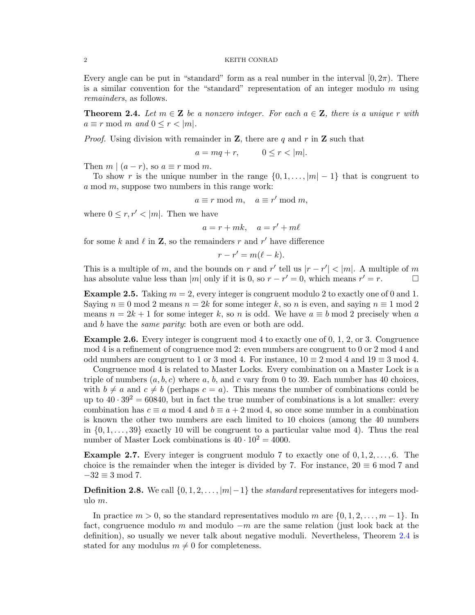Every angle can be put in "standard" form as a real number in the interval  $[0, 2\pi)$ . There is a similar convention for the "standard" representation of an integer modulo  $m$  using remainders, as follows.

<span id="page-1-0"></span>**Theorem 2.4.** Let  $m \in \mathbb{Z}$  be a nonzero integer. For each  $a \in \mathbb{Z}$ , there is a unique r with  $a \equiv r \mod m$  and  $0 \leq r < |m|$ .

*Proof.* Using division with remainder in **Z**, there are q and r in **Z** such that

$$
a = mq + r, \qquad 0 \le r < |m|.
$$

Then  $m \mid (a - r)$ , so  $a \equiv r \mod m$ .

To show r is the unique number in the range  $\{0, 1, \ldots, |m| - 1\}$  that is congruent to a mod  $m$ , suppose two numbers in this range work:

$$
a \equiv r \bmod m, \quad a \equiv r' \bmod m,
$$

where  $0 \leq r, r' < |m|$ . Then we have

$$
a = r + mk, \quad a = r' + m\ell
$$

for some k and  $\ell$  in **Z**, so the remainders r and r' have difference

$$
r - r' = m(\ell - k).
$$

This is a multiple of m, and the bounds on r and r' tell us  $|r - r'| < |m|$ . A multiple of m has absolute value less than |m| only if it is 0, so  $r - r' = 0$ , which means  $r' = r$ .

**Example 2.5.** Taking  $m = 2$ , every integer is congruent modulo 2 to exactly one of 0 and 1. Saying  $n \equiv 0 \mod 2$  means  $n = 2k$  for some integer k, so n is even, and saying  $n \equiv 1 \mod 2$ means  $n = 2k + 1$  for some integer k, so n is odd. We have  $a \equiv b \mod 2$  precisely when a and b have the *same parity*: both are even or both are odd.

Example 2.6. Every integer is congruent mod 4 to exactly one of 0, 1, 2, or 3. Congruence mod 4 is a refinement of congruence mod 2: even numbers are congruent to 0 or 2 mod 4 and odd numbers are congruent to 1 or 3 mod 4. For instance,  $10 \equiv 2 \mod 4$  and  $19 \equiv 3 \mod 4$ .

Congruence mod 4 is related to Master Locks. Every combination on a Master Lock is a triple of numbers  $(a, b, c)$  where a, b, and c vary from 0 to 39. Each number has 40 choices, with  $b \neq a$  and  $c \neq b$  (perhaps  $c = a$ ). This means the number of combinations could be up to  $40 \cdot 39^2 = 60840$ , but in fact the true number of combinations is a lot smaller: every combination has  $c \equiv a \mod 4$  and  $b \equiv a + 2 \mod 4$ , so once some number in a combination is known the other two numbers are each limited to 10 choices (among the 40 numbers in  $\{0, 1, \ldots, 39\}$  exactly 10 will be congruent to a particular value mod 4). Thus the real number of Master Lock combinations is  $40 \cdot 10^2 = 4000$ .

**Example 2.7.** Every integer is congruent modulo 7 to exactly one of  $0, 1, 2, \ldots, 6$ . The choice is the remainder when the integer is divided by 7. For instance,  $20 \equiv 6 \mod 7$  and  $-32 \equiv 3 \mod 7$ .

**Definition 2.8.** We call  $\{0, 1, 2, \ldots, |m| - 1\}$  the *standard* representatives for integers modulo m.

In practice  $m > 0$ , so the standard representatives modulo m are  $\{0, 1, 2, \ldots, m-1\}$ . In fact, congruence modulo m and modulo  $-m$  are the same relation (just look back at the definition), so usually we never talk about negative moduli. Nevertheless, Theorem [2.4](#page-1-0) is stated for any modulus  $m \neq 0$  for completeness.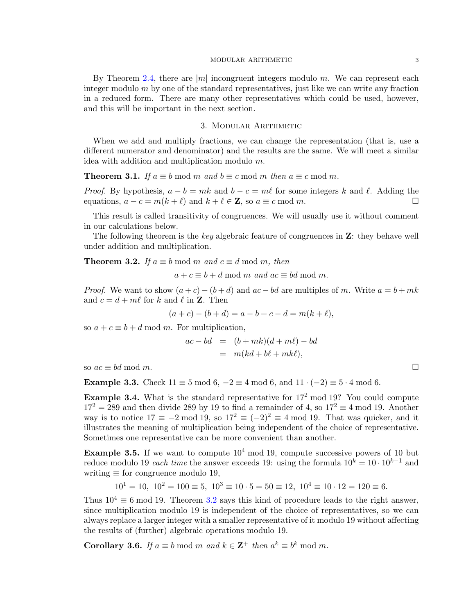By Theorem [2.4,](#page-1-0) there are  $|m|$  incongruent integers modulo m. We can represent each integer modulo  $m$  by one of the standard representatives, just like we can write any fraction in a reduced form. There are many other representatives which could be used, however, and this will be important in the next section.

## 3. Modular Arithmetic

When we add and multiply fractions, we can change the representation (that is, use a different numerator and denominator) and the results are the same. We will meet a similar idea with addition and multiplication modulo m.

**Theorem 3.1.** If  $a \equiv b \mod m$  and  $b \equiv c \mod m$  then  $a \equiv c \mod m$ .

*Proof.* By hypothesis,  $a - b = mk$  and  $b - c = m\ell$  for some integers k and  $\ell$ . Adding the equations,  $a - c = m(k + \ell)$  and  $k + \ell \in \mathbb{Z}$ , so  $a \equiv c \mod m$ .

This result is called transitivity of congruences. We will usually use it without comment in our calculations below.

The following theorem is the key algebraic feature of congruences in **Z**: they behave well under addition and multiplication.

<span id="page-2-0"></span>**Theorem 3.2.** If  $a \equiv b \mod m$  and  $c \equiv d \mod m$ , then

 $a + c \equiv b + d \mod m$  and  $ac \equiv bd \mod m$ .

*Proof.* We want to show  $(a + c) - (b + d)$  and  $ac - bd$  are multiples of m. Write  $a = b + mk$ and  $c = d + m\ell$  for k and  $\ell$  in **Z**. Then

$$
(a + c) - (b + d) = a - b + c - d = m(k + \ell),
$$

so  $a + c \equiv b + d \mod m$ . For multiplication,

$$
ac - bd = (b + mk)(d + m\ell) - bd
$$
  
=  $m(kd + bk + mk\ell),$ 

so  $ac \equiv bd \mod m$ .

**Example 3.3.** Check  $11 \equiv 5 \mod 6$ ,  $-2 \equiv 4 \mod 6$ , and  $11 \cdot (-2) \equiv 5 \cdot 4 \mod 6$ .

**Example 3.4.** What is the standard representative for  $17<sup>2</sup>$  mod 19? You could compute  $17^2 = 289$  and then divide 289 by 19 to find a remainder of 4, so  $17^2 \equiv 4 \mod 19$ . Another way is to notice  $17 \equiv -2 \mod 19$ , so  $17^2 \equiv (-2)^2 \equiv 4 \mod 19$ . That was quicker, and it illustrates the meaning of multiplication being independent of the choice of representative. Sometimes one representative can be more convenient than another.

**Example 3.5.** If we want to compute  $10^4$  mod 19, compute successive powers of 10 but reduce modulo 19 each time the answer exceeds 19: using the formula  $10^k = 10 \cdot 10^{k-1}$  and writing  $\equiv$  for congruence modulo 19,

$$
10^1 = 10
$$
,  $10^2 = 100 \equiv 5$ ,  $10^3 = 10 \cdot 5 = 50 \equiv 12$ ,  $10^4 = 10 \cdot 12 = 120 \equiv 6$ .

Thus  $10^4 \equiv 6 \mod 19$ . Theorem [3.2](#page-2-0) says this kind of procedure leads to the right answer, since multiplication modulo 19 is independent of the choice of representatives, so we can always replace a larger integer with a smaller representative of it modulo 19 without affecting the results of (further) algebraic operations modulo 19.

<span id="page-2-1"></span>**Corollary 3.6.** If  $a \equiv b \mod m$  and  $k \in \mathbb{Z}^+$  then  $a^k \equiv b^k \mod m$ .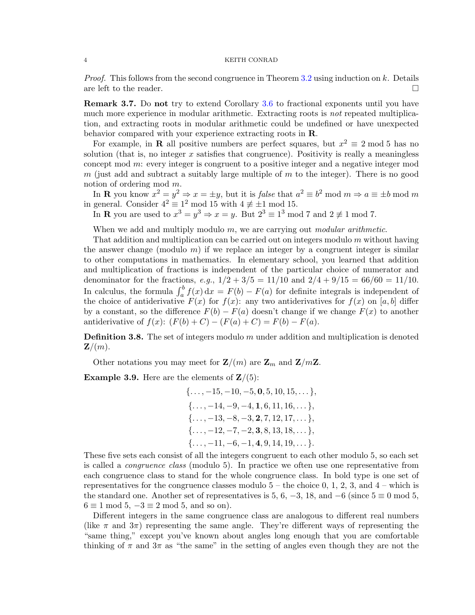*Proof.* This follows from the second congruence in Theorem [3.2](#page-2-0) using induction on k. Details are left to the reader.

**Remark 3.7.** Do not try to extend Corollary [3.6](#page-2-1) to fractional exponents until you have much more experience in modular arithmetic. Extracting roots is *not* repeated multiplication, and extracting roots in modular arithmetic could be undefined or have unexpected behavior compared with your experience extracting roots in R.

For example, in **R** all positive numbers are perfect squares, but  $x^2 \equiv 2 \mod 5$  has no solution (that is, no integer  $x$  satisfies that congruence). Positivity is really a meaningless concept mod m: every integer is congruent to a positive integer and a negative integer mod  $m$  (just add and subtract a suitably large multiple of  $m$  to the integer). There is no good notion of ordering mod m.

In **R** you know  $x^2 = y^2 \Rightarrow x = \pm y$ , but it is *false* that  $a^2 \equiv b^2 \mod m \Rightarrow a \equiv \pm b \mod m$ in general. Consider  $4^2 \equiv 1^2 \mod 15$  with  $4 \not\equiv \pm 1 \mod 15$ .

In **R** you are used to  $x^3 = y^3 \Rightarrow x = y$ . But  $2^3 \equiv 1^3 \mod 7$  and  $2 \not\equiv 1 \mod 7$ .

When we add and multiply modulo  $m$ , we are carrying out *modular arithmetic*.

That addition and multiplication can be carried out on integers modulo  $m$  without having the answer change (modulo  $m$ ) if we replace an integer by a congruent integer is similar to other computations in mathematics. In elementary school, you learned that addition and multiplication of fractions is independent of the particular choice of numerator and denominator for the fractions, e.g.,  $1/2 + 3/5 = 11/10$  and  $2/4 + 9/15 = 66/60 = 11/10$ . In calculus, the formula  $\int_a^b f(x) dx = F(b) - F(a)$  for definite integrals is independent of the choice of antiderivative  $F(x)$  for  $f(x)$ : any two antiderivatives for  $f(x)$  on [a, b] differ by a constant, so the difference  $F(b) - F(a)$  doesn't change if we change  $F(x)$  to another antiderivative of  $f(x)$ :  $(F(b) + C) - (F(a) + C) = F(b) - F(a)$ .

**Definition 3.8.** The set of integers modulo  $m$  under addition and multiplication is denoted  $\mathbf{Z}/(m)$ .

Other notations you may meet for  $\mathbf{Z}/(m)$  are  $\mathbf{Z}_m$  and  $\mathbf{Z}/m\mathbf{Z}$ .

**Example 3.9.** Here are the elements of  $\mathbf{Z}/(5)$ :

$$
\{\ldots, -15, -10, -5, \mathbf{0}, 5, 10, 15, \ldots\},
$$
  

$$
\{\ldots, -14, -9, -4, \mathbf{1}, 6, 11, 16, \ldots\},
$$
  

$$
\{\ldots, -13, -8, -3, \mathbf{2}, 7, 12, 17, \ldots\},
$$
  

$$
\{\ldots, -12, -7, -2, \mathbf{3}, 8, 13, 18, \ldots\},
$$
  

$$
\{\ldots, -11, -6, -1, \mathbf{4}, 9, 14, 19, \ldots\}.
$$

These five sets each consist of all the integers congruent to each other modulo 5, so each set is called a congruence class (modulo 5). In practice we often use one representative from each congruence class to stand for the whole congruence class. In bold type is one set of representatives for the congruence classes modulo  $5$  – the choice 0, 1, 2, 3, and  $4$  – which is the standard one. Another set of representatives is 5, 6,  $-3$ , 18, and  $-6$  (since  $5 \equiv 0 \mod 5$ ,  $6 \equiv 1 \mod 5, -3 \equiv 2 \mod 5, \text{ and so on}.$ 

Different integers in the same congruence class are analogous to different real numbers (like  $\pi$  and  $3\pi$ ) representing the same angle. They're different ways of representing the "same thing," except you've known about angles long enough that you are comfortable thinking of  $\pi$  and  $3\pi$  as "the same" in the setting of angles even though they are not the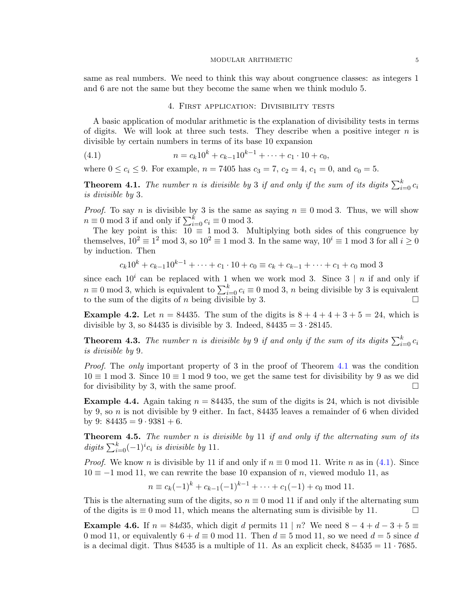same as real numbers. We need to think this way about congruence classes: as integers 1 and 6 are not the same but they become the same when we think modulo 5.

### <span id="page-4-1"></span>4. First application: Divisibility tests

A basic application of modular arithmetic is the explanation of divisibility tests in terms of digits. We will look at three such tests. They describe when a positive integer  $n$  is divisible by certain numbers in terms of its base 10 expansion

(4.1) 
$$
n = c_k 10^k + c_{k-1} 10^{k-1} + \dots + c_1 \cdot 10 + c_0,
$$

where  $0 \le c_i \le 9$ . For example,  $n = 7405$  has  $c_3 = 7$ ,  $c_2 = 4$ ,  $c_1 = 0$ , and  $c_0 = 5$ .

<span id="page-4-0"></span>**Theorem 4.1.** The number n is divisible by 3 if and only if the sum of its digits  $\sum_{i=0}^{k} c_i$ is divisible by 3.

*Proof.* To say n is divisible by 3 is the same as saying  $n \equiv 0 \mod 3$ . Thus, we will show  $n \equiv 0 \mod 3$  if and only if  $\sum_{i=0}^{k} c_i \equiv 0 \mod 3$ .

The key point is this:  $10 \equiv 1 \mod 3$ . Multiplying both sides of this congruence by themselves,  $10^2 \equiv 1^2 \mod 3$ , so  $10^2 \equiv 1 \mod 3$ . In the same way,  $10^i \equiv 1 \mod 3$  for all  $i \geq 0$ by induction. Then

$$
c_k 10^k + c_{k-1} 10^{k-1} + \dots + c_1 \cdot 10 + c_0 \equiv c_k + c_{k-1} + \dots + c_1 + c_0 \mod 3
$$

since each  $10^i$  can be replaced with 1 when we work mod 3. Since 3 | *n* if and only if  $n \equiv 0 \mod 3$ , which is equivalent to  $\sum_{i=0}^{k} c_i \equiv 0 \mod 3$ , n being divisible by 3 is equivalent to the sum of the digits of n being divisible by 3.

**Example 4.2.** Let  $n = 84435$ . The sum of the digits is  $8 + 4 + 4 + 3 + 5 = 24$ , which is divisible by 3, so  $84435$  is divisible by 3. Indeed,  $84435 = 3 \cdot 28145$ .

**Theorem 4.3.** The number n is divisible by 9 if and only if the sum of its digits  $\sum_{i=0}^{k} c_i$ is divisible by 9.

Proof. The only important property of 3 in the proof of Theorem [4.1](#page-4-0) was the condition  $10 \equiv 1 \mod 3$ . Since  $10 \equiv 1 \mod 9$  too, we get the same test for divisibility by 9 as we did for divisibility by 3, with the same proof.  $\square$ 

**Example 4.4.** Again taking  $n = 84435$ , the sum of the digits is 24, which is not divisible by 9, so n is not divisible by 9 either. In fact,  $84435$  leaves a remainder of 6 when divided by 9:  $84435 = 9 \cdot 9381 + 6$ .

**Theorem 4.5.** The number  $n$  is divisible by 11 if and only if the alternating sum of its digits  $\sum_{i=0}^{k} (-1)^{i} c_i$  is divisible by 11.

*Proof.* We know n is divisible by 11 if and only if  $n \equiv 0 \mod 11$ . Write n as in [\(4.1\)](#page-4-1). Since  $10 \equiv -1 \mod 11$ , we can rewrite the base 10 expansion of n, viewed modulo 11, as

$$
n \equiv c_k(-1)^k + c_{k-1}(-1)^{k-1} + \cdots + c_1(-1) + c_0 \mod 11.
$$

This is the alternating sum of the digits, so  $n \equiv 0 \mod 11$  if and only if the alternating sum of the digits is  $\equiv 0 \mod 11$ , which means the alternating sum is divisible by 11.  $□$ 

**Example 4.6.** If  $n = 84d35$ , which digit d permits  $11 \mid n$ ? We need  $8 - 4 + d - 3 + 5 \equiv$ 0 mod 11, or equivalently  $6 + d \equiv 0 \mod 11$ . Then  $d \equiv 5 \mod 11$ , so we need  $d = 5$  since d is a decimal digit. Thus 84535 is a multiple of 11. As an explicit check,  $84535 = 11 \cdot 7685$ .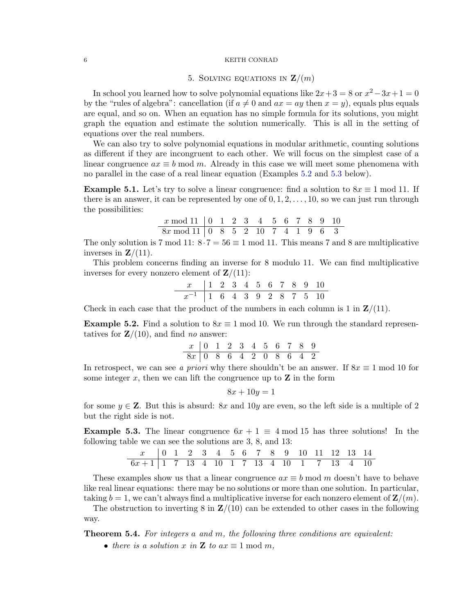# 5. SOLVING EQUATIONS IN  $\mathbf{Z}/(m)$

In school you learned how to solve polynomial equations like  $2x+3=8$  or  $x^2-3x+1=0$ by the "rules of algebra": cancellation (if  $a \neq 0$  and  $ax = ay$  then  $x = y$ ), equals plus equals are equal, and so on. When an equation has no simple formula for its solutions, you might graph the equation and estimate the solution numerically. This is all in the setting of equations over the real numbers.

We can also try to solve polynomial equations in modular arithmetic, counting solutions as different if they are incongruent to each other. We will focus on the simplest case of a linear congruence  $ax \equiv b \mod m$ . Already in this case we will meet some phenomena with no parallel in the case of a real linear equation (Examples [5.2](#page-5-0) and [5.3](#page-5-1) below).

<span id="page-5-2"></span>**Example 5.1.** Let's try to solve a linear congruence: find a solution to  $8x \equiv 1 \mod 11$ . If there is an answer, it can be represented by one of  $0, 1, 2, \ldots, 10$ , so we can just run through the possibilities:

| $x \mod 11$   0 1 2 3 4 5 6 7 8 9 10 |  |  |  |  |  |  |
|--------------------------------------|--|--|--|--|--|--|
| $8x \mod 11$ 0 8 5 2 10 7 4 1 9 6 3  |  |  |  |  |  |  |

The only solution is 7 mod 11:  $8 \cdot 7 = 56 \equiv 1 \mod 11$ . This means 7 and 8 are multiplicative inverses in  $\mathbf{Z}/(11)$ .

This problem concerns finding an inverse for 8 modulo 11. We can find multiplicative inverses for every nonzero element of  $\mathbf{Z}/(11)$ :

$$
\begin{array}{c|cccccccccccc}\nx & 1 & 2 & 3 & 4 & 5 & 6 & 7 & 8 & 9 & 10 \\
\hline\nx^{-1} & 1 & 6 & 4 & 3 & 9 & 2 & 8 & 7 & 5 & 10\n\end{array}
$$

Check in each case that the product of the numbers in each column is 1 in  $\mathbf{Z}/(11)$ .

<span id="page-5-0"></span>**Example 5.2.** Find a solution to  $8x \equiv 1 \mod 10$ . We run through the standard representatives for  $\mathbf{Z}/(10)$ , and find no answer:

$$
\begin{array}{c|cccccccccccc}\nx & 0 & 1 & 2 & 3 & 4 & 5 & 6 & 7 & 8 & 9 \\
\hline\n8x & 0 & 8 & 6 & 4 & 2 & 0 & 8 & 6 & 4 & 2\n\end{array}
$$

In retrospect, we can see a priori why there shouldn't be an answer. If  $8x \equiv 1 \text{ mod } 10$  for some integer  $x$ , then we can lift the congruence up to  $\mathbf Z$  in the form

$$
8x + 10y = 1
$$

for some  $y \in \mathbb{Z}$ . But this is absurd: 8x and 10y are even, so the left side is a multiple of 2 but the right side is not.

<span id="page-5-1"></span>**Example 5.3.** The linear congruence  $6x + 1 \equiv 4 \mod 15$  has three solutions! In the following table we can see the solutions are 3, 8, and 13:

| $x$      | 0 | 1 | 2  | 3 | 4  | 5 | 6 | 7  | 8 | 9  | 10 | 11 | 12 | 13 | 14 |
|----------|---|---|----|---|----|---|---|----|---|----|----|----|----|----|----|
| $6x + 1$ | 1 | 7 | 13 | 4 | 10 | 1 | 7 | 13 | 4 | 10 | 1  | 7  | 13 | 4  | 10 |

These examples show us that a linear congruence  $ax \equiv b \mod m$  doesn't have to behave like real linear equations: there may be no solutions or more than one solution. In particular, taking  $b = 1$ , we can't always find a multiplicative inverse for each nonzero element of  $\mathbf{Z}/(m)$ .

The obstruction to inverting  $8$  in  $\mathbb{Z}/(10)$  can be extended to other cases in the following way.

Theorem 5.4. For integers a and m, the following three conditions are equivalent:

• there is a solution x in **Z** to  $ax \equiv 1 \mod m$ ,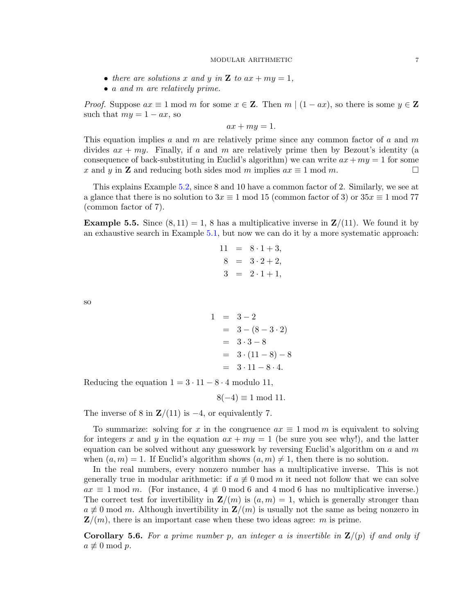- there are solutions x and y in **Z** to  $ax + my = 1$ ,
- a and m are relatively prime.

*Proof.* Suppose  $ax \equiv 1 \mod m$  for some  $x \in \mathbb{Z}$ . Then  $m \mid (1 - ax)$ , so there is some  $y \in \mathbb{Z}$ such that  $my = 1 - ax$ , so

$$
ax + my = 1.
$$

This equation implies a and m are relatively prime since any common factor of a and m divides  $ax + my$ . Finally, if a and m are relatively prime then by Bezout's identity (a consequence of back-substituting in Euclid's algorithm) we can write  $ax + my = 1$  for some x and y in **Z** and reducing both sides mod m implies  $ax \equiv 1 \mod m$ .

This explains Example [5.2,](#page-5-0) since 8 and 10 have a common factor of 2. Similarly, we see at a glance that there is no solution to  $3x \equiv 1 \mod 15$  (common factor of 3) or  $35x \equiv 1 \mod 77$ (common factor of 7).

**Example 5.5.** Since  $(8, 11) = 1$ , 8 has a multiplicative inverse in  $\mathbf{Z}/(11)$ . We found it by an exhaustive search in Example [5.1,](#page-5-2) but now we can do it by a more systematic approach:

$$
11 = 8 \cdot 1 + 3,
$$
  
\n
$$
8 = 3 \cdot 2 + 2,
$$
  
\n
$$
3 = 2 \cdot 1 + 1,
$$

so

$$
1 = 3-2
$$
  
= 3 - (8 - 3 \cdot 2)  
= 3 \cdot 3 - 8  
= 3 \cdot (11 - 8) - 8  
= 3 \cdot 11 - 8 \cdot 4.

Reducing the equation  $1 = 3 \cdot 11 - 8 \cdot 4$  modulo 11,

 $8(-4) \equiv 1 \mod 11$ .

The inverse of 8 in  $\mathbb{Z}/(11)$  is  $-4$ , or equivalently 7.

To summarize: solving for x in the congruence  $ax \equiv 1 \mod m$  is equivalent to solving for integers x and y in the equation  $ax + my = 1$  (be sure you see why!), and the latter equation can be solved without any guesswork by reversing Euclid's algorithm on  $a$  and  $m$ when  $(a, m) = 1$ . If Euclid's algorithm shows  $(a, m) \neq 1$ , then there is no solution.

In the real numbers, every nonzero number has a multiplicative inverse. This is not generally true in modular arithmetic: if  $a \not\equiv 0 \mod m$  it need not follow that we can solve  $ax \equiv 1 \mod m$ . (For instance,  $4 \not\equiv 0 \mod 6$  and 4 mod 6 has no multiplicative inverse.) The correct test for invertibility in  $\mathbf{Z}/(m)$  is  $(a, m) = 1$ , which is generally stronger than  $a \not\equiv 0 \mod m$ . Although invertibility in  $\mathbf{Z}/(m)$  is usually not the same as being nonzero in  $\mathbf{Z}/(m)$ , there is an important case when these two ideas agree: m is prime.

<span id="page-6-0"></span>**Corollary 5.6.** For a prime number p, an integer a is invertible in  $\mathbf{Z}/(p)$  if and only if  $a \not\equiv 0 \bmod p$ .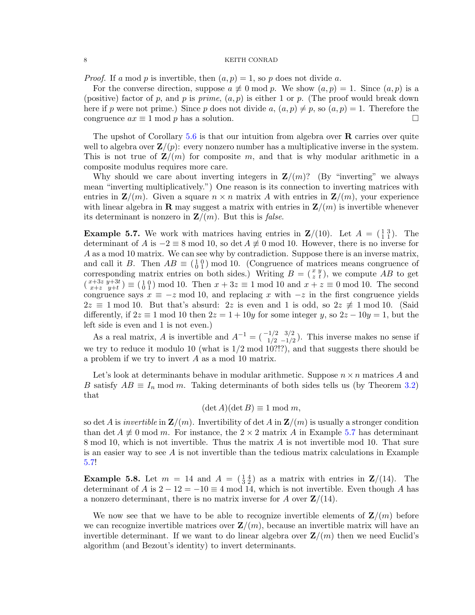*Proof.* If a mod p is invertible, then  $(a, p) = 1$ , so p does not divide a.

For the converse direction, suppose  $a \not\equiv 0 \mod p$ . We show  $(a, p) = 1$ . Since  $(a, p)$  is a (positive) factor of p, and p is prime,  $(a, p)$  is either 1 or p. (The proof would break down here if p were not prime.) Since p does not divide a,  $(a, p) \neq p$ , so  $(a, p) = 1$ . Therefore the congruence  $ax \equiv 1 \mod p$  has a solution.

The upshot of Corollary  $5.6$  is that our intuition from algebra over  $\bf{R}$  carries over quite well to algebra over  $\mathbf{Z}/(p)$ : every nonzero number has a multiplicative inverse in the system. This is not true of  $\mathbf{Z}/(m)$  for composite m, and that is why modular arithmetic in a composite modulus requires more care.

Why should we care about inverting integers in  $\mathbf{Z}/(m)$ ? (By "inverting" we always mean "inverting multiplicatively.") One reason is its connection to inverting matrices with entries in  $\mathbf{Z}/(m)$ . Given a square  $n \times n$  matrix A with entries in  $\mathbf{Z}/(m)$ , your experience with linear algebra in **R** may suggest a matrix with entries in  $\mathbf{Z}/(m)$  is invertible whenever its determinant is nonzero in  $\mathbf{Z}/(m)$ . But this is *false*.

<span id="page-7-0"></span>**Example 5.7.** We work with matrices having entries in  $\mathbf{Z}/(10)$ . Let  $A = \begin{pmatrix} 1 & 3 \\ 1 & 1 \end{pmatrix}$ . The determinant of A is  $-2 \equiv 8 \mod 10$ , so det  $A \not\equiv 0 \mod 10$ . However, there is no inverse for A as a mod 10 matrix. We can see why by contradiction. Suppose there is an inverse matrix, and call it B. Then  $AB \equiv \begin{pmatrix} 1 & 0 \\ 0 & 1 \end{pmatrix}$  mod 10. (Congruence of matrices means congruence of corresponding matrix entries on both sides.) Writing  $B = (\frac{x}{z} \frac{y}{t})$ , we compute AB to get  $\begin{array}{c} (x+3z, y+3t) \\ x+z, y+t \end{array}$  $(x+3z \ y+3t) \equiv \begin{pmatrix} 1 & 0 \\ 0 & 1 \end{pmatrix}$  mod 10. Then  $x + 3z \equiv 1 \text{ mod } 10$  and  $x + z \equiv 0 \text{ mod } 10$ . The second congruence says  $x \equiv -z \mod 10$ , and replacing x with  $-z$  in the first congruence yields  $2z \equiv 1 \mod 10$ . But that's absurd: 2z is even and 1 is odd, so  $2z \not\equiv 1 \mod 10$ . (Said differently, if  $2z \equiv 1 \mod 10$  then  $2z = 1 + 10y$  for some integer y, so  $2z - 10y = 1$ , but the left side is even and 1 is not even.)

As a real matrix, A is invertible and  $A^{-1} = \begin{pmatrix} -1/2 & 3/2 \\ 1/2 & -1/2 \end{pmatrix}$ . This inverse makes no sense if we try to reduce it modulo 10 (what is 1/2 mod 10?!?), and that suggests there should be a problem if we try to invert A as a mod 10 matrix.

Let's look at determinants behave in modular arithmetic. Suppose  $n \times n$  matrices A and B satisfy  $AB \equiv I_n \mod m$ . Taking determinants of both sides tells us (by Theorem [3.2\)](#page-2-0) that

# $(\det A)(\det B) \equiv 1 \mod m$ ,

so det A is invertible in  $\mathbf{Z}(m)$ . Invertibility of det A in  $\mathbf{Z}(m)$  is usually a stronger condition than det  $A \neq 0$  mod m. For instance, the  $2 \times 2$  matrix A in Example [5.7](#page-7-0) has determinant 8 mod 10, which is not invertible. Thus the matrix  $\vec{A}$  is not invertible mod 10. That sure is an easier way to see  $A$  is not invertible than the tedious matrix calculations in Example [5.7!](#page-7-0)

**Example 5.8.** Let  $m = 14$  and  $A = \begin{pmatrix} 1 & 4 \\ 3 & 2 \end{pmatrix}$  as a matrix with entries in  $\mathbb{Z}/(14)$ . The determinant of A is  $2 - 12 = -10 \equiv 4 \mod 14$ , which is not invertible. Even though A has a nonzero determinant, there is no matrix inverse for A over  $\mathbf{Z}/(14)$ .

We now see that we have to be able to recognize invertible elements of  $\mathbf{Z}/(m)$  before we can recognize invertible matrices over  $\mathbf{Z}/(m)$ , because an invertible matrix will have an invertible determinant. If we want to do linear algebra over  $\mathbb{Z}/(m)$  then we need Euclid's algorithm (and Bezout's identity) to invert determinants.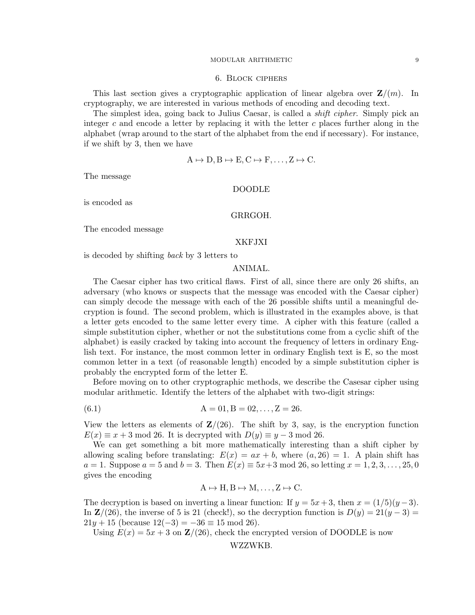#### 6. Block ciphers

This last section gives a cryptographic application of linear algebra over  $\mathbf{Z}/(m)$ . In cryptography, we are interested in various methods of encoding and decoding text.

The simplest idea, going back to Julius Caesar, is called a *shift cipher*. Simply pick an integer  $c$  and encode a letter by replacing it with the letter  $c$  places further along in the alphabet (wrap around to the start of the alphabet from the end if necessary). For instance, if we shift by 3, then we have

$$
A \mapsto D, B \mapsto E, C \mapsto F, \dots, Z \mapsto C.
$$

The message

### DOODLE

is encoded as

## GRRGOH.

The encoded message

### XKFJXI

is decoded by shifting back by 3 letters to

# ANIMAL.

The Caesar cipher has two critical flaws. First of all, since there are only 26 shifts, an adversary (who knows or suspects that the message was encoded with the Caesar cipher) can simply decode the message with each of the 26 possible shifts until a meaningful decryption is found. The second problem, which is illustrated in the examples above, is that a letter gets encoded to the same letter every time. A cipher with this feature (called a simple substitution cipher, whether or not the substitutions come from a cyclic shift of the alphabet) is easily cracked by taking into account the frequency of letters in ordinary English text. For instance, the most common letter in ordinary English text is E, so the most common letter in a text (of reasonable length) encoded by a simple substitution cipher is probably the encrypted form of the letter E.

Before moving on to other cryptographic methods, we describe the Casesar cipher using modular arithmetic. Identify the letters of the alphabet with two-digit strings:

(6.1) 
$$
A = 01, B = 02, ..., Z = 26.
$$

View the letters as elements of  $\mathbb{Z}/(26)$ . The shift by 3, say, is the encryption function  $E(x) \equiv x + 3 \mod 26$ . It is decrypted with  $D(y) \equiv y - 3 \mod 26$ .

We can get something a bit more mathematically interesting than a shift cipher by allowing scaling before translating:  $E(x) = ax + b$ , where  $(a, 26) = 1$ . A plain shift has  $a = 1$ . Suppose  $a = 5$  and  $b = 3$ . Then  $E(x) \equiv 5x+3 \mod 26$ , so letting  $x = 1, 2, 3, \ldots, 25, 0$ gives the encoding

$$
A \mapsto H, B \mapsto M, \dots, Z \mapsto C.
$$

The decryption is based on inverting a linear function: If  $y = 5x + 3$ , then  $x = (1/5)(y - 3)$ . In  $\mathbb{Z}/(26)$ , the inverse of 5 is 21 (check!), so the decryption function is  $D(y) = 21(y-3)$  $21y + 15$  (because  $12(-3) = -36 \equiv 15 \mod 26$ ).

Using  $E(x) = 5x + 3$  on  $\mathbb{Z}/(26)$ , check the encrypted version of DOODLE is now

WZZWKB.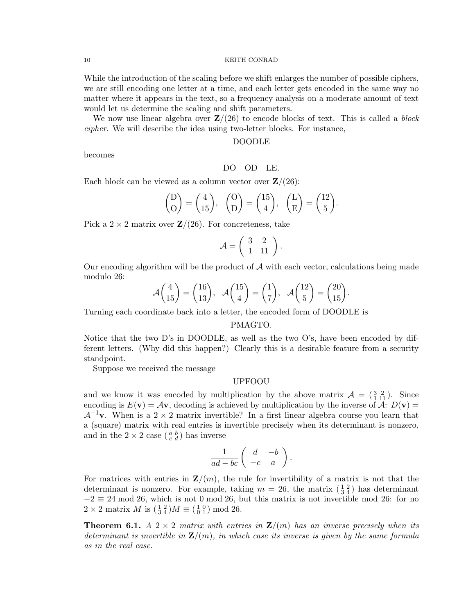While the introduction of the scaling before we shift enlarges the number of possible ciphers, we are still encoding one letter at a time, and each letter gets encoded in the same way no matter where it appears in the text, so a frequency analysis on a moderate amount of text would let us determine the scaling and shift parameters.

We now use linear algebra over  $\mathbb{Z}/(26)$  to encode blocks of text. This is called a block cipher. We will describe the idea using two-letter blocks. For instance,

### DOODLE

becomes

DO OD LE.

Each block can be viewed as a column vector over  $\mathbf{Z}/(26)$ :

$$
\begin{pmatrix} D \ D \end{pmatrix} = \begin{pmatrix} 4 \\ 15 \end{pmatrix}, \quad \begin{pmatrix} O \\ D \end{pmatrix} = \begin{pmatrix} 15 \\ 4 \end{pmatrix}, \quad \begin{pmatrix} L \\ E \end{pmatrix} = \begin{pmatrix} 12 \\ 5 \end{pmatrix}.
$$

Pick a  $2 \times 2$  matrix over  $\mathbb{Z}/(26)$ . For concreteness, take

$$
\mathcal{A} = \left( \begin{array}{cc} 3 & 2 \\ 1 & 11 \end{array} \right).
$$

Our encoding algorithm will be the product of  $A$  with each vector, calculations being made modulo 26:

$$
\mathcal{A}\begin{pmatrix} 4\\15 \end{pmatrix} = \begin{pmatrix} 16\\13 \end{pmatrix}, \quad \mathcal{A}\begin{pmatrix} 15\\4 \end{pmatrix} = \begin{pmatrix} 1\\7 \end{pmatrix}, \quad \mathcal{A}\begin{pmatrix} 12\\5 \end{pmatrix} = \begin{pmatrix} 20\\15 \end{pmatrix}.
$$

Turning each coordinate back into a letter, the encoded form of DOODLE is

# PMAGTO.

Notice that the two D's in DOODLE, as well as the two O's, have been encoded by different letters. (Why did this happen?) Clearly this is a desirable feature from a security standpoint.

Suppose we received the message

#### UPFOOU

and we know it was encoded by multiplication by the above matrix  $\mathcal{A} = \begin{pmatrix} 3 & 2 \\ 1 & 11 \end{pmatrix}$ . Since encoding is  $E(\mathbf{v}) = A\mathbf{v}$ , decoding is achieved by multiplication by the inverse of A:  $D(\mathbf{v}) =$  $\mathcal{A}^{-1}$ v. When is a 2 × 2 matrix invertible? In a first linear algebra course you learn that a (square) matrix with real entries is invertible precisely when its determinant is nonzero, and in the  $2 \times 2$  case  $\left(\begin{smallmatrix} a & b \\ c & d \end{smallmatrix}\right)$  has inverse

$$
\frac{1}{ad-bc}\left(\begin{array}{cc}d&-b\\-c&a\end{array}\right).
$$

For matrices with entries in  $\mathbf{Z}/(m)$ , the rule for invertibility of a matrix is not that the determinant is nonzero. For example, taking  $m = 26$ , the matrix  $\left(\frac{1}{3}, \frac{2}{4}\right)$  has determinant  $-2 \equiv 24 \mod 26$ , which is not 0 mod 26, but this matrix is not invertible mod 26: for no  $2 \times 2$  matrix M is  $\left(\frac{1}{3}\frac{2}{4}\right)M \equiv \left(\frac{1}{0}\frac{0}{1}\right) \mod 26$ .

**Theorem 6.1.** A 2  $\times$  2 matrix with entries in  $\mathbf{Z}/(m)$  has an inverse precisely when its determinant is invertible in  $\mathbf{Z}/(m)$ , in which case its inverse is given by the same formula as in the real case.